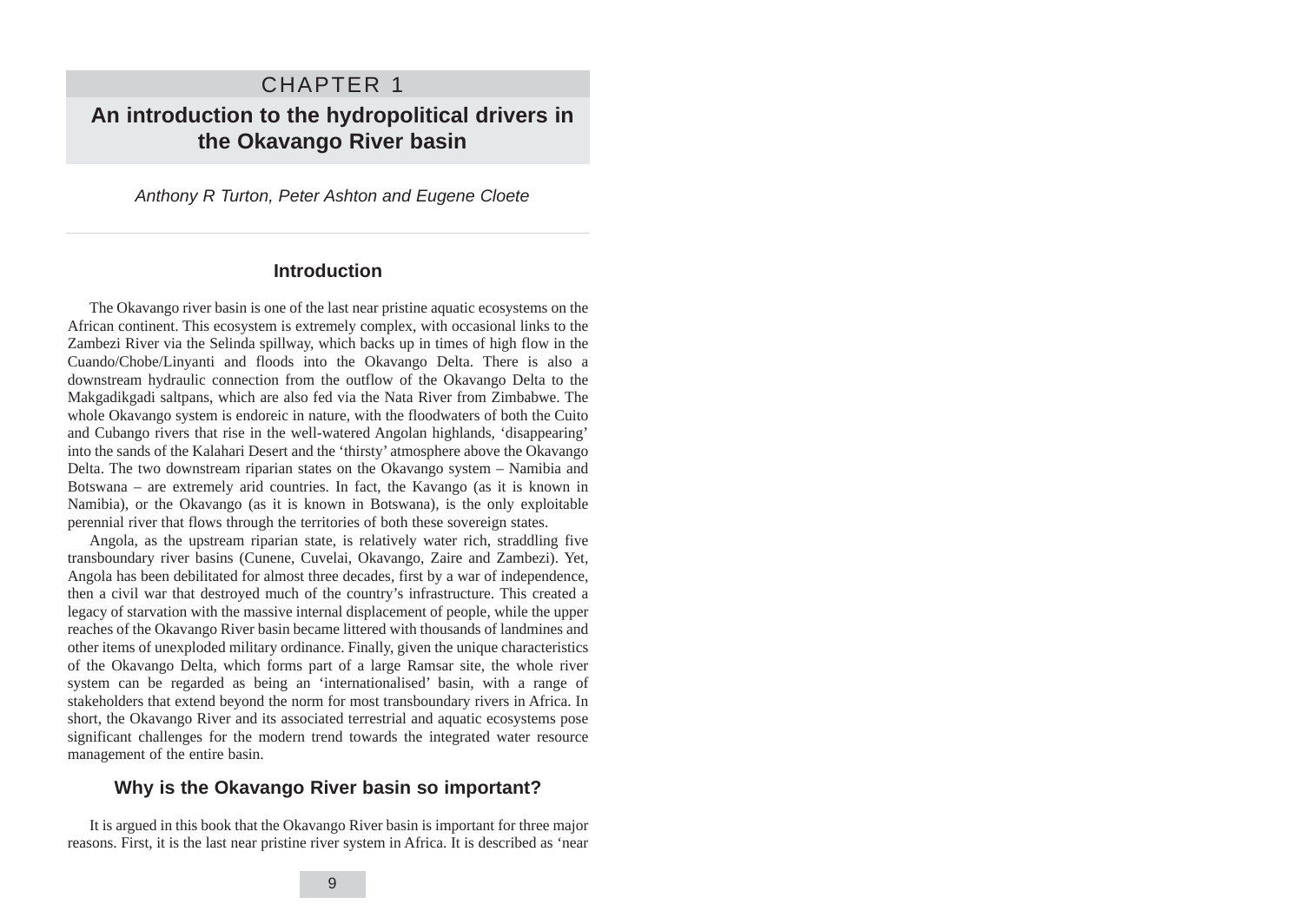Anthony R Turton, Peter Ashton and Eugene Cloete

## **Introduction**

The Okavango river basin is one of the last near pristine aquatic ecosystems on the African continent. This ecosystem is extremely complex, with occasional links to the Zambezi River via the Selinda spillway, which backs up in times of high flow in the Cuando/Chobe/Linyanti and floods into the Okavango Delta. There is also a downstream hydraulic connection from the outflow of the Okavango Delta to the Makgadikgadi saltpans, which are also fed via the Nata River from Zimbabwe. The whole Okavango system is endoreic in nature, with the floodwaters of both the Cuito and Cubango rivers that rise in the well-watered Angolan highlands, 'disappearing' into the sands of the Kalahari Desert and the 'thirsty' atmosphere above the Okavango Delta. The two downstream riparian states on the Okavango system – Namibia and Botswana – are extremely arid countries. In fact, the Kavango (as it is known in Namibia), or the Okavango (as it is known in Botswana), is the only exploitable perennial river that flows through the territories of both these sovereign states.

Angola, as the upstream riparian state, is relatively water rich, straddling five transboundary river basins (Cunene, Cuvelai, Okavango, Zaire and Zambezi). Yet, Angola has been debilitated for almost three decades, first by a war of independence, then a civil war that destroyed much of the country's infrastructure. This created a legacy of starvation with the massive internal displacement of people, while the upper reaches of the Okavango River basin became littered with thousands of landmines and other items of unexploded military ordinance. Finally, given the unique characteristics of the Okavango Delta, which forms part of a large Ramsar site, the whole river system can be regarded as being an 'internationalised' basin, with a range of stakeholders that extend beyond the norm for most transboundary rivers in Africa. In short, the Okavango River and its associated terrestrial and aquatic ecosystems pose significant challenges for the modern trend towards the integrated water resource management of the entire basin.

# **Why is the Okavango River basin so important?**

It is argued in this book that the Okavango River basin is important for three major reasons. First, it is the last near pristine river system in Africa. It is described as 'near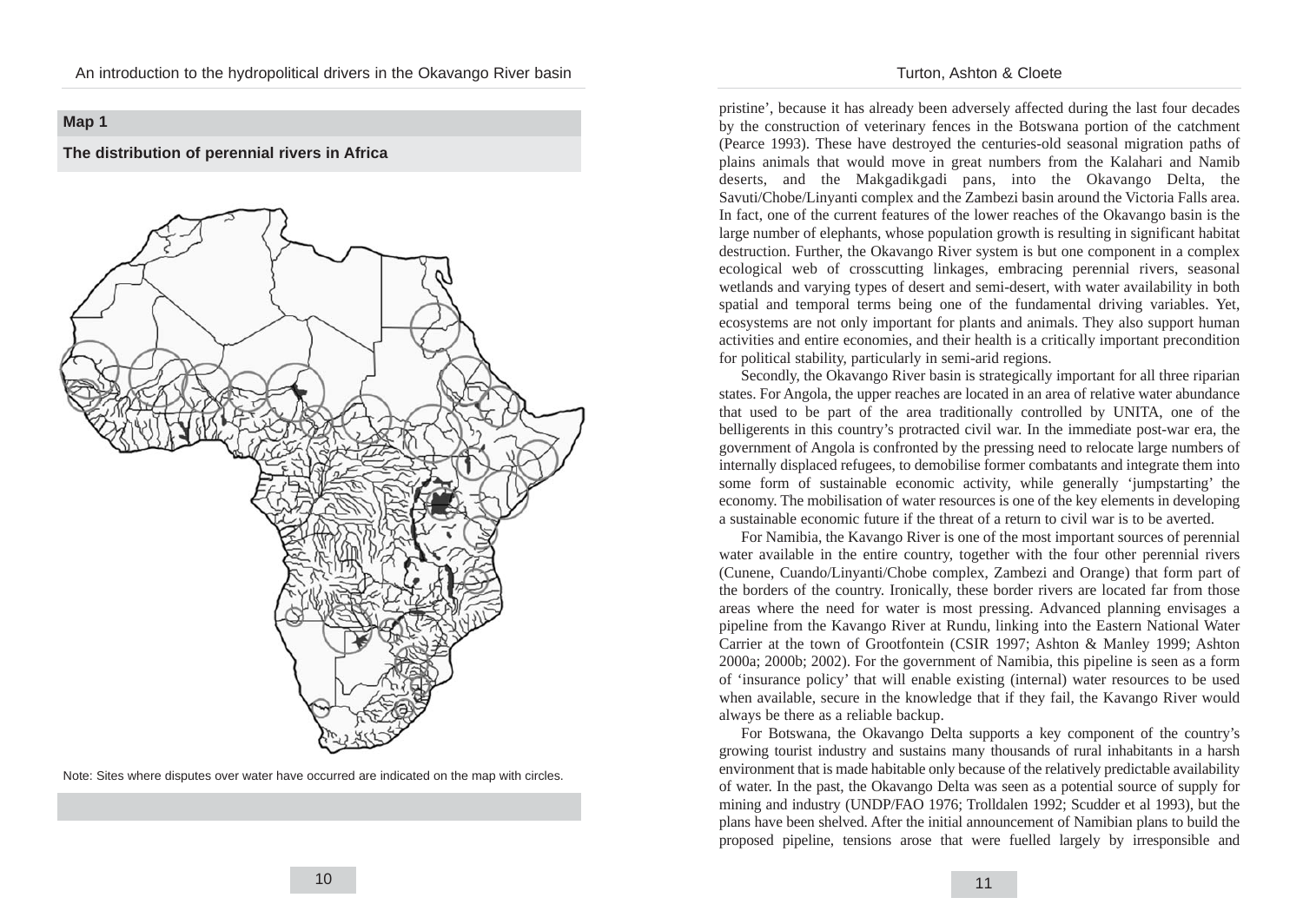# **Map 1**

**The distribution of perennial rivers in Africa**



Note: Sites where disputes over water have occurred are indicated on the map with circles.

#### Turton, Ashton & Cloete

pristine', because it has already been adversely affected during the last four decades by the construction of veterinary fences in the Botswana portion of the catchment (Pearce 1993). These have destroyed the centuries-old seasonal migration paths of plains animals that would move in great numbers from the Kalahari and Namib deserts, and the Makgadikgadi pans, into the Okavango Delta, the Savuti/Chobe/Linyanti complex and the Zambezi basin around the Victoria Falls area. In fact, one of the current features of the lower reaches of the Okavango basin is the large number of elephants, whose population growth is resulting in significant habitat destruction. Further, the Okavango River system is but one component in a complex ecological web of crosscutting linkages, embracing perennial rivers, seasonal wetlands and varying types of desert and semi-desert, with water availability in both spatial and temporal terms being one of the fundamental driving variables. Yet, ecosystems are not only important for plants and animals. They also support human activities and entire economies, and their health is a critically important precondition for political stability, particularly in semi-arid regions.

Secondly, the Okavango River basin is strategically important for all three riparian states. For Angola, the upper reaches are located in an area of relative water abundance that used to be part of the area traditionally controlled by UNITA, one of the belligerents in this country's protracted civil war. In the immediate post-war era, the government of Angola is confronted by the pressing need to relocate large numbers of internally displaced refugees, to demobilise former combatants and integrate them into some form of sustainable economic activity, while generally 'jumpstarting' the economy. The mobilisation of water resources is one of the key elements in developing a sustainable economic future if the threat of a return to civil war is to be averted.

For Namibia, the Kavango River is one of the most important sources of perennial water available in the entire country, together with the four other perennial rivers (Cunene, Cuando/Linyanti/Chobe complex, Zambezi and Orange) that form part of the borders of the country. Ironically, these border rivers are located far from those areas where the need for water is most pressing. Advanced planning envisages a pipeline from the Kavango River at Rundu, linking into the Eastern National Water Carrier at the town of Grootfontein (CSIR 1997; Ashton & Manley 1999; Ashton 2000a; 2000b; 2002). For the government of Namibia, this pipeline is seen as a form of 'insurance policy' that will enable existing (internal) water resources to be used when available, secure in the knowledge that if they fail, the Kavango River would always be there as a reliable backup.

For Botswana, the Okavango Delta supports a key component of the country's growing tourist industry and sustains many thousands of rural inhabitants in a harsh environment that is made habitable only because of the relatively predictable availability of water. In the past, the Okavango Delta was seen as a potential source of supply for mining and industry (UNDP/FAO 1976; Trolldalen 1992; Scudder et al 1993), but the plans have been shelved. After the initial announcement of Namibian plans to build the proposed pipeline, tensions arose that were fuelled largely by irresponsible and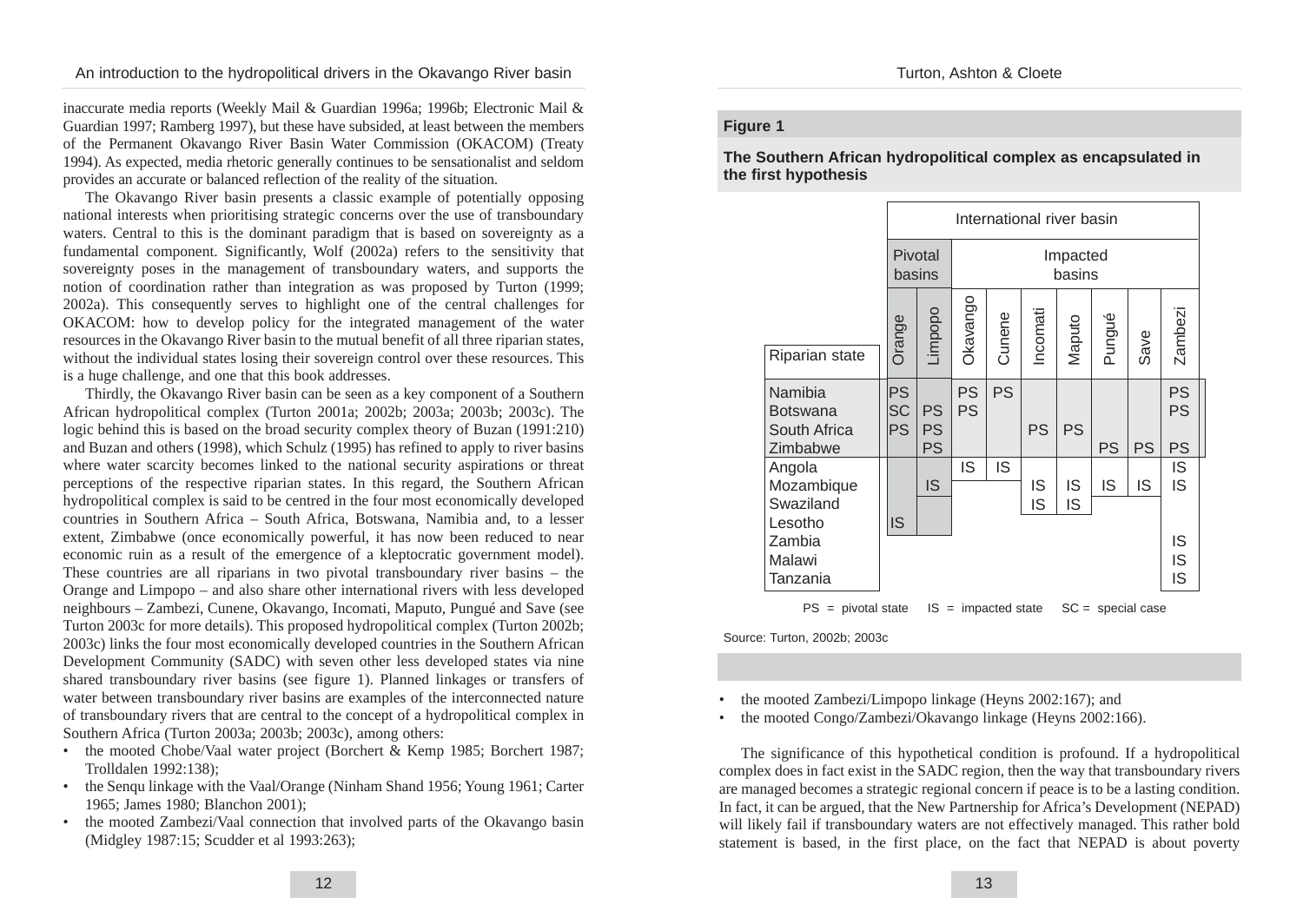inaccurate media reports (Weekly Mail & Guardian 1996a; 1996b; Electronic Mail & Guardian 1997; Ramberg 1997), but these have subsided, at least between the members of the Permanent Okavango River Basin Water Commission (OKACOM) (Treaty 1994). As expected, media rhetoric generally continues to be sensationalist and seldom provides an accurate or balanced reflection of the reality of the situation.

The Okavango River basin presents a classic example of potentially opposing national interests when prioritising strategic concerns over the use of transboundary waters. Central to this is the dominant paradigm that is based on sovereignty as a fundamental component. Significantly, Wolf (2002a) refers to the sensitivity that sovereignty poses in the management of transboundary waters, and supports the notion of coordination rather than integration as was proposed by Turton (1999; 2002a). This consequently serves to highlight one of the central challenges for OKACOM: how to develop policy for the integrated management of the water resources in the Okavango River basin to the mutual benefit of all three riparian states, without the individual states losing their sovereign control over these resources. This is a huge challenge, and one that this book addresses.

Thirdly, the Okavango River basin can be seen as a key component of a Southern African hydropolitical complex (Turton 2001a; 2002b; 2003a; 2003b; 2003c). The logic behind this is based on the broad security complex theory of Buzan (1991:210) and Buzan and others (1998), which Schulz (1995) has refined to apply to river basins where water scarcity becomes linked to the national security aspirations or threat perceptions of the respective riparian states. In this regard, the Southern African hydropolitical complex is said to be centred in the four most economically developed countries in Southern Africa – South Africa, Botswana, Namibia and, to a lesser extent, Zimbabwe (once economically powerful, it has now been reduced to near economic ruin as a result of the emergence of a kleptocratic government model). These countries are all riparians in two pivotal transboundary river basins – the Orange and Limpopo – and also share other international rivers with less developed neighbours – Zambezi, Cunene, Okavango, Incomati, Maputo, Pungué and Save (see Turton 2003c for more details). This proposed hydropolitical complex (Turton 2002b; 2003c) links the four most economically developed countries in the Southern African Development Community (SADC) with seven other less developed states via nine shared transboundary river basins (see figure 1). Planned linkages or transfers of water between transboundary river basins are examples of the interconnected nature of transboundary rivers that are central to the concept of a hydropolitical complex in Southern Africa (Turton 2003a; 2003b; 2003c), among others:

- the mooted Chobe/Vaal water project (Borchert & Kemp 1985; Borchert 1987; Trolldalen 1992:138);
- the Senqu linkage with the Vaal/Orange (Ninham Shand 1956; Young 1961; Carter 1965; James 1980; Blanchon 2001);
- the mooted Zambezi/Vaal connection that involved parts of the Okavango basin (Midgley 1987:15; Scudder et al 1993:263);

### **Figure 1**

**The Southern African hydropolitical complex as encapsulated in the first hypothesis**



 $PS =$  pivotal state  $IS =$  impacted state  $SC =$  special case

Source: Turton, 2002b; 2003c

• the mooted Zambezi/Limpopo linkage (Heyns 2002:167); and

• the mooted Congo/Zambezi/Okavango linkage (Heyns 2002:166).

The significance of this hypothetical condition is profound. If a hydropolitical complex does in fact exist in the SADC region, then the way that transboundary rivers are managed becomes a strategic regional concern if peace is to be a lasting condition. In fact, it can be argued, that the New Partnership for Africa's Development (NEPAD) will likely fail if transboundary waters are not effectively managed. This rather bold statement is based, in the first place, on the fact that NEPAD is about poverty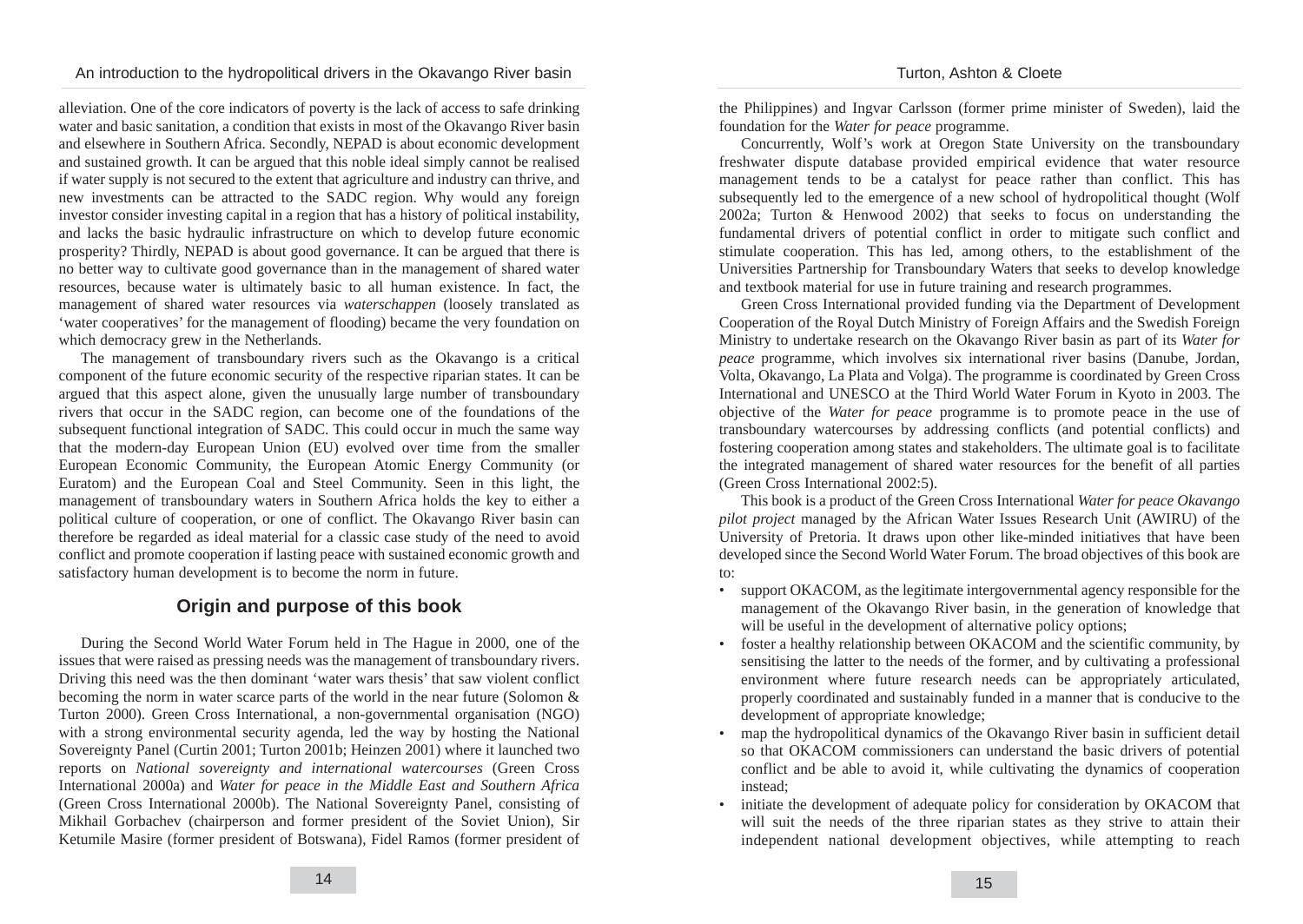alleviation. One of the core indicators of poverty is the lack of access to safe drinking water and basic sanitation, a condition that exists in most of the Okavango River basin and elsewhere in Southern Africa. Secondly, NEPAD is about economic development and sustained growth. It can be argued that this noble ideal simply cannot be realised if water supply is not secured to the extent that agriculture and industry can thrive, and new investments can be attracted to the SADC region. Why would any foreign investor consider investing capital in a region that has a history of political instability, and lacks the basic hydraulic infrastructure on which to develop future economic prosperity? Thirdly, NEPAD is about good governance. It can be argued that there is no better way to cultivate good governance than in the management of shared water resources, because water is ultimately basic to all human existence. In fact, the management of shared water resources via *waterschappen* (loosely translated as 'water cooperatives' for the management of flooding) became the very foundation on which democracy grew in the Netherlands.

The management of transboundary rivers such as the Okavango is a critical component of the future economic security of the respective riparian states. It can be argued that this aspect alone, given the unusually large number of transboundary rivers that occur in the SADC region, can become one of the foundations of the subsequent functional integration of SADC. This could occur in much the same way that the modern-day European Union (EU) evolved over time from the smaller European Economic Community, the European Atomic Energy Community (or Euratom) and the European Coal and Steel Community. Seen in this light, the management of transboundary waters in Southern Africa holds the key to either a political culture of cooperation, or one of conflict. The Okavango River basin can therefore be regarded as ideal material for a classic case study of the need to avoid conflict and promote cooperation if lasting peace with sustained economic growth and satisfactory human development is to become the norm in future.

# **Origin and purpose of this book**

During the Second World Water Forum held in The Hague in 2000, one of the issues that were raised as pressing needs was the management of transboundary rivers. Driving this need was the then dominant 'water wars thesis' that saw violent conflict becoming the norm in water scarce parts of the world in the near future (Solomon & Turton 2000). Green Cross International, a non-governmental organisation (NGO) with a strong environmental security agenda, led the way by hosting the National Sovereignty Panel (Curtin 2001; Turton 2001b; Heinzen 2001) where it launched two reports on *National sovereignty and international watercourses* (Green Cross International 2000a) and *Water for peace in the Middle East and Southern Africa* (Green Cross International 2000b). The National Sovereignty Panel, consisting of Mikhail Gorbachev (chairperson and former president of the Soviet Union), Sir Ketumile Masire (former president of Botswana), Fidel Ramos (former president of the Philippines) and Ingvar Carlsson (former prime minister of Sweden), laid the foundation for the *Water for peace* programme.

Concurrently, Wolf's work at Oregon State University on the transboundary freshwater dispute database provided empirical evidence that water resource management tends to be a catalyst for peace rather than conflict. This has subsequently led to the emergence of a new school of hydropolitical thought (Wolf 2002a; Turton & Henwood 2002) that seeks to focus on understanding the fundamental drivers of potential conflict in order to mitigate such conflict and stimulate cooperation. This has led, among others, to the establishment of the Universities Partnership for Transboundary Waters that seeks to develop knowledge and textbook material for use in future training and research programmes.

Green Cross International provided funding via the Department of Development Cooperation of the Royal Dutch Ministry of Foreign Affairs and the Swedish Foreign Ministry to undertake research on the Okavango River basin as part of its *Water for peace* programme, which involves six international river basins (Danube, Jordan, Volta, Okavango, La Plata and Volga). The programme is coordinated by Green Cross International and UNESCO at the Third World Water Forum in Kyoto in 2003. The objective of the *Water for peace* programme is to promote peace in the use of transboundary watercourses by addressing conflicts (and potential conflicts) and fostering cooperation among states and stakeholders. The ultimate goal is to facilitate the integrated management of shared water resources for the benefit of all parties (Green Cross International 2002:5).

This book is a product of the Green Cross International *Water for peace Okavango pilot project* managed by the African Water Issues Research Unit (AWIRU) of the University of Pretoria. It draws upon other like-minded initiatives that have been developed since the Second World Water Forum. The broad objectives of this book are to:

- support OKACOM, as the legitimate intergovernmental agency responsible for the management of the Okavango River basin, in the generation of knowledge that will be useful in the development of alternative policy options;
- foster a healthy relationship between OKACOM and the scientific community, by sensitising the latter to the needs of the former, and by cultivating a professional environment where future research needs can be appropriately articulated, properly coordinated and sustainably funded in a manner that is conducive to the development of appropriate knowledge;
- map the hydropolitical dynamics of the Okavango River basin in sufficient detail so that OKACOM commissioners can understand the basic drivers of potential conflict and be able to avoid it, while cultivating the dynamics of cooperation instead;
- initiate the development of adequate policy for consideration by OKACOM that will suit the needs of the three riparian states as they strive to attain their independent national development objectives, while attempting to reach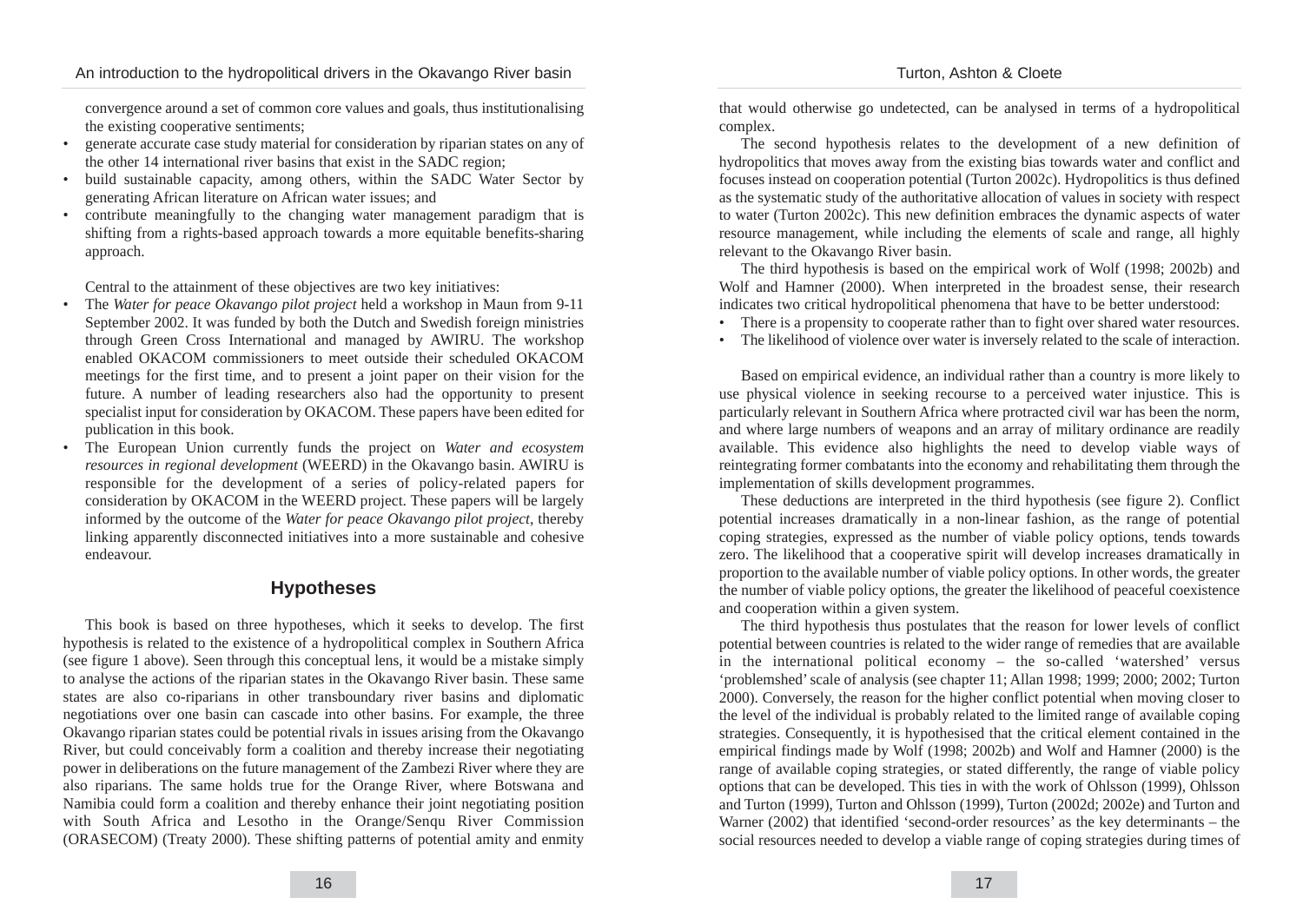convergence around a set of common core values and goals, thus institutionalising the existing cooperative sentiments;

- generate accurate case study material for consideration by riparian states on any of the other 14 international river basins that exist in the SADC region;
- build sustainable capacity, among others, within the SADC Water Sector by generating African literature on African water issues; and
- contribute meaningfully to the changing water management paradigm that is shifting from a rights-based approach towards a more equitable benefits-sharing approach.

Central to the attainment of these objectives are two key initiatives:

- The *Water for peace Okavango pilot project* held a workshop in Maun from 9-11 September 2002. It was funded by both the Dutch and Swedish foreign ministries through Green Cross International and managed by AWIRU. The workshop enabled OKACOM commissioners to meet outside their scheduled OKACOM meetings for the first time, and to present a joint paper on their vision for the future. A number of leading researchers also had the opportunity to present specialist input for consideration by OKACOM. These papers have been edited for publication in this book.
- The European Union currently funds the project on *Water and ecosystem resources in regional development* (WEERD) in the Okavango basin. AWIRU is responsible for the development of a series of policy-related papers for consideration by OKACOM in the WEERD project. These papers will be largely informed by the outcome of the *Water for peace Okavango pilot project*, thereby linking apparently disconnected initiatives into a more sustainable and cohesive endeavour.

# **Hypotheses**

This book is based on three hypotheses, which it seeks to develop. The first hypothesis is related to the existence of a hydropolitical complex in Southern Africa (see figure 1 above). Seen through this conceptual lens, it would be a mistake simply to analyse the actions of the riparian states in the Okavango River basin. These same states are also co-riparians in other transboundary river basins and diplomatic negotiations over one basin can cascade into other basins. For example, the three Okavango riparian states could be potential rivals in issues arising from the Okavango River, but could conceivably form a coalition and thereby increase their negotiating power in deliberations on the future management of the Zambezi River where they are also riparians. The same holds true for the Orange River, where Botswana and Namibia could form a coalition and thereby enhance their joint negotiating position with South Africa and Lesotho in the Orange/Senqu River Commission (ORASECOM) (Treaty 2000). These shifting patterns of potential amity and enmity that would otherwise go undetected, can be analysed in terms of a hydropolitical complex.

The second hypothesis relates to the development of a new definition of hydropolitics that moves away from the existing bias towards water and conflict and focuses instead on cooperation potential (Turton 2002c). Hydropolitics is thus defined as the systematic study of the authoritative allocation of values in society with respect to water (Turton 2002c). This new definition embraces the dynamic aspects of water resource management, while including the elements of scale and range, all highly relevant to the Okavango River basin.

The third hypothesis is based on the empirical work of Wolf (1998; 2002b) and Wolf and Hamner (2000). When interpreted in the broadest sense, their research indicates two critical hydropolitical phenomena that have to be better understood:

- There is a propensity to cooperate rather than to fight over shared water resources.
- The likelihood of violence over water is inversely related to the scale of interaction.

Based on empirical evidence, an individual rather than a country is more likely to use physical violence in seeking recourse to a perceived water injustice. This is particularly relevant in Southern Africa where protracted civil war has been the norm, and where large numbers of weapons and an array of military ordinance are readily available. This evidence also highlights the need to develop viable ways of reintegrating former combatants into the economy and rehabilitating them through the implementation of skills development programmes.

These deductions are interpreted in the third hypothesis (see figure 2). Conflict potential increases dramatically in a non-linear fashion, as the range of potential coping strategies, expressed as the number of viable policy options, tends towards zero. The likelihood that a cooperative spirit will develop increases dramatically in proportion to the available number of viable policy options. In other words, the greater the number of viable policy options, the greater the likelihood of peaceful coexistence and cooperation within a given system.

The third hypothesis thus postulates that the reason for lower levels of conflict potential between countries is related to the wider range of remedies that are available in the international political economy – the so-called 'watershed' versus 'problemshed' scale of analysis (see chapter 11; Allan 1998; 1999; 2000; 2002; Turton 2000). Conversely, the reason for the higher conflict potential when moving closer to the level of the individual is probably related to the limited range of available coping strategies. Consequently, it is hypothesised that the critical element contained in the empirical findings made by Wolf (1998; 2002b) and Wolf and Hamner (2000) is the range of available coping strategies, or stated differently, the range of viable policy options that can be developed. This ties in with the work of Ohlsson (1999), Ohlsson and Turton (1999), Turton and Ohlsson (1999), Turton (2002d; 2002e) and Turton and Warner (2002) that identified 'second-order resources' as the key determinants – the social resources needed to develop a viable range of coping strategies during times of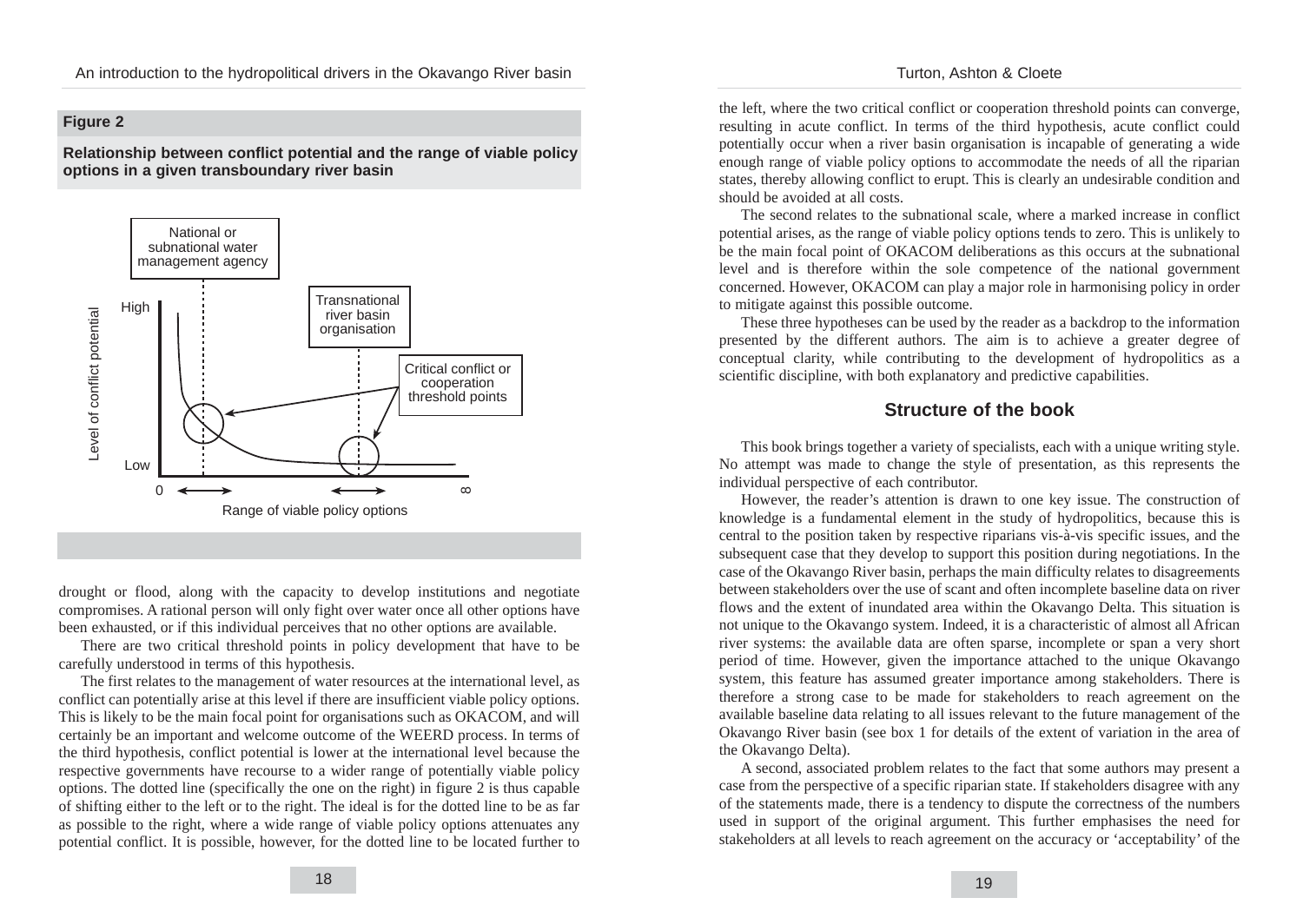#### Turton, Ashton & Cloete

## **Figure 2**

**Relationship between conflict potential and the range of viable policy options in a given transboundary river basin** 



drought or flood, along with the capacity to develop institutions and negotiate compromises. A rational person will only fight over water once all other options have been exhausted, or if this individual perceives that no other options are available.

There are two critical threshold points in policy development that have to be carefully understood in terms of this hypothesis.

The first relates to the management of water resources at the international level, as conflict can potentially arise at this level if there are insufficient viable policy options. This is likely to be the main focal point for organisations such as OKACOM, and will certainly be an important and welcome outcome of the WEERD process. In terms of the third hypothesis, conflict potential is lower at the international level because the respective governments have recourse to a wider range of potentially viable policy options. The dotted line (specifically the one on the right) in figure 2 is thus capable of shifting either to the left or to the right. The ideal is for the dotted line to be as far as possible to the right, where a wide range of viable policy options attenuates any potential conflict. It is possible, however, for the dotted line to be located further to

the left, where the two critical conflict or cooperation threshold points can converge, resulting in acute conflict. In terms of the third hypothesis, acute conflict could potentially occur when a river basin organisation is incapable of generating a wide enough range of viable policy options to accommodate the needs of all the riparian states, thereby allowing conflict to erupt. This is clearly an undesirable condition and should be avoided at all costs.

The second relates to the subnational scale, where a marked increase in conflict potential arises, as the range of viable policy options tends to zero. This is unlikely to be the main focal point of OKACOM deliberations as this occurs at the subnational level and is therefore within the sole competence of the national government concerned. However, OKACOM can play a major role in harmonising policy in order to mitigate against this possible outcome.

These three hypotheses can be used by the reader as a backdrop to the information presented by the different authors. The aim is to achieve a greater degree of conceptual clarity, while contributing to the development of hydropolitics as a scientific discipline, with both explanatory and predictive capabilities.

# **Structure of the book**

This book brings together a variety of specialists, each with a unique writing style. No attempt was made to change the style of presentation, as this represents the individual perspective of each contributor.

However, the reader's attention is drawn to one key issue. The construction of knowledge is a fundamental element in the study of hydropolitics, because this is central to the position taken by respective riparians vis-à-vis specific issues, and the subsequent case that they develop to support this position during negotiations. In the case of the Okavango River basin, perhaps the main difficulty relates to disagreements between stakeholders over the use of scant and often incomplete baseline data on river flows and the extent of inundated area within the Okavango Delta. This situation is not unique to the Okavango system. Indeed, it is a characteristic of almost all African river systems: the available data are often sparse, incomplete or span a very short period of time. However, given the importance attached to the unique Okavango system, this feature has assumed greater importance among stakeholders. There is therefore a strong case to be made for stakeholders to reach agreement on the available baseline data relating to all issues relevant to the future management of the Okavango River basin (see box 1 for details of the extent of variation in the area of the Okavango Delta).

A second, associated problem relates to the fact that some authors may present a case from the perspective of a specific riparian state. If stakeholders disagree with any of the statements made, there is a tendency to dispute the correctness of the numbers used in support of the original argument. This further emphasises the need for stakeholders at all levels to reach agreement on the accuracy or 'acceptability' of the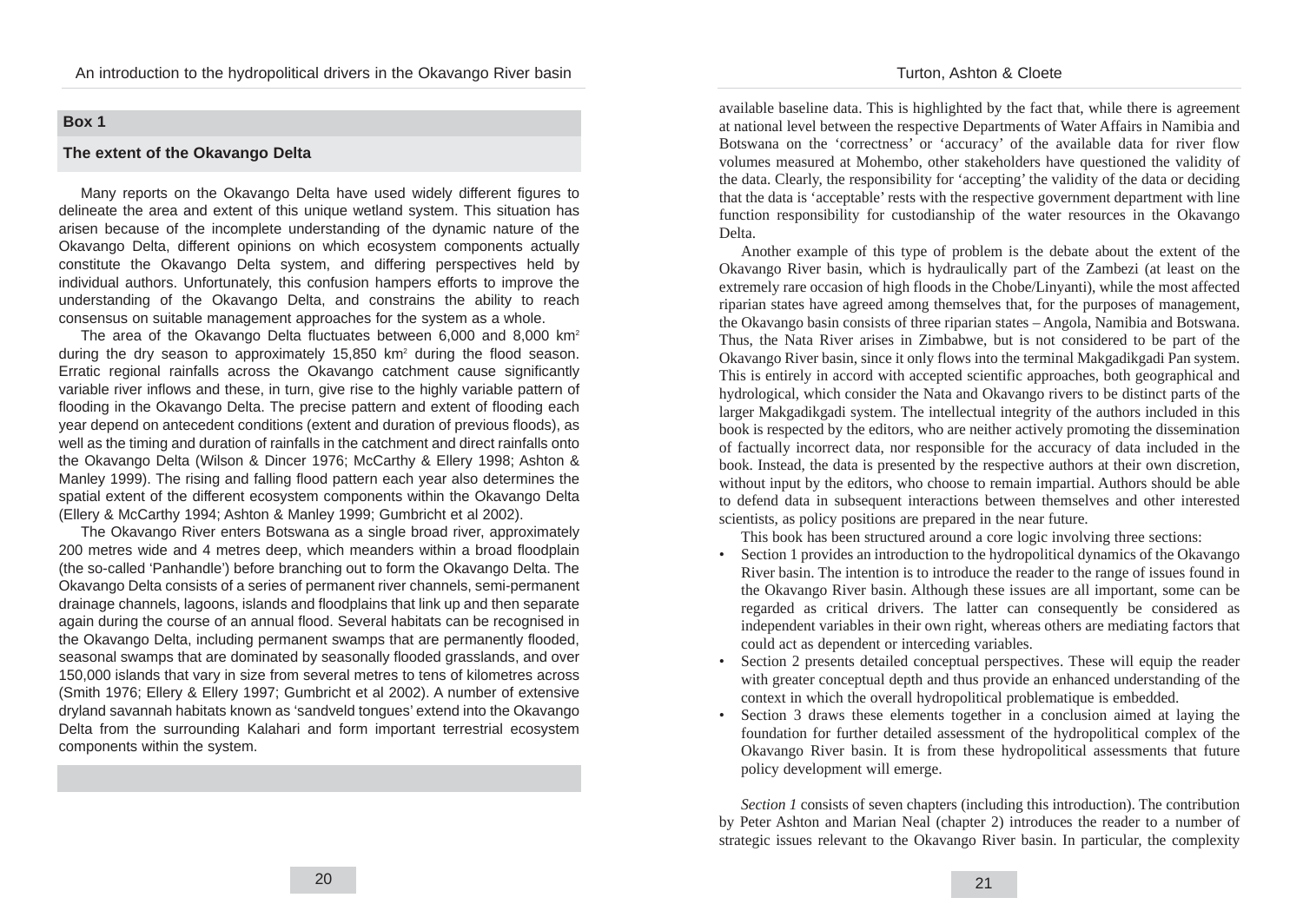## Turton, Ashton & Cloete

### **Box 1**

#### **The extent of the Okavango Delta**

Many reports on the Okavango Delta have used widely different figures to delineate the area and extent of this unique wetland system. This situation has arisen because of the incomplete understanding of the dynamic nature of the Okavango Delta, different opinions on which ecosystem components actually constitute the Okavango Delta system, and differing perspectives held by individual authors. Unfortunately, this confusion hampers efforts to improve the understanding of the Okavango Delta, and constrains the ability to reach consensus on suitable management approaches for the system as a whole.

The area of the Okavango Delta fluctuates between 6,000 and 8,000 km<sup>2</sup> during the dry season to approximately  $15,850$  km<sup>2</sup> during the flood season. Erratic regional rainfalls across the Okavango catchment cause significantly variable river inflows and these, in turn, give rise to the highly variable pattern of flooding in the Okavango Delta. The precise pattern and extent of flooding each year depend on antecedent conditions (extent and duration of previous floods), as well as the timing and duration of rainfalls in the catchment and direct rainfalls onto the Okavango Delta (Wilson & Dincer 1976; McCarthy & Ellery 1998; Ashton & Manley 1999). The rising and falling flood pattern each year also determines the spatial extent of the different ecosystem components within the Okavango Delta (Ellery & McCarthy 1994; Ashton & Manley 1999; Gumbricht et al 2002).

The Okavango River enters Botswana as a single broad river, approximately 200 metres wide and 4 metres deep, which meanders within a broad floodplain (the so-called 'Panhandle') before branching out to form the Okavango Delta. The Okavango Delta consists of a series of permanent river channels, semi-permanent drainage channels, lagoons, islands and floodplains that link up and then separate again during the course of an annual flood. Several habitats can be recognised in the Okavango Delta, including permanent swamps that are permanently flooded, seasonal swamps that are dominated by seasonally flooded grasslands, and over 150,000 islands that vary in size from several metres to tens of kilometres across (Smith 1976; Ellery & Ellery 1997; Gumbricht et al 2002). A number of extensive dryland savannah habitats known as 'sandveld tongues' extend into the Okavango Delta from the surrounding Kalahari and form important terrestrial ecosystem components within the system.

available baseline data. This is highlighted by the fact that, while there is agreement at national level between the respective Departments of Water Affairs in Namibia and Botswana on the 'correctness' or 'accuracy' of the available data for river flow volumes measured at Mohembo, other stakeholders have questioned the validity of the data. Clearly, the responsibility for 'accepting' the validity of the data or deciding that the data is 'acceptable' rests with the respective government department with line function responsibility for custodianship of the water resources in the Okavango Delta.

Another example of this type of problem is the debate about the extent of the Okavango River basin, which is hydraulically part of the Zambezi (at least on the extremely rare occasion of high floods in the Chobe/Linyanti), while the most affected riparian states have agreed among themselves that, for the purposes of management, the Okavango basin consists of three riparian states – Angola, Namibia and Botswana. Thus, the Nata River arises in Zimbabwe, but is not considered to be part of the Okavango River basin, since it only flows into the terminal Makgadikgadi Pan system. This is entirely in accord with accepted scientific approaches, both geographical and hydrological, which consider the Nata and Okavango rivers to be distinct parts of the larger Makgadikgadi system. The intellectual integrity of the authors included in this book is respected by the editors, who are neither actively promoting the dissemination of factually incorrect data, nor responsible for the accuracy of data included in the book. Instead, the data is presented by the respective authors at their own discretion, without input by the editors, who choose to remain impartial. Authors should be able to defend data in subsequent interactions between themselves and other interested scientists, as policy positions are prepared in the near future.

This book has been structured around a core logic involving three sections:

- Section 1 provides an introduction to the hydropolitical dynamics of the Okavango River basin. The intention is to introduce the reader to the range of issues found in the Okavango River basin. Although these issues are all important, some can be regarded as critical drivers. The latter can consequently be considered as independent variables in their own right, whereas others are mediating factors that could act as dependent or interceding variables.
- Section 2 presents detailed conceptual perspectives. These will equip the reader with greater conceptual depth and thus provide an enhanced understanding of the context in which the overall hydropolitical problematique is embedded.
- Section 3 draws these elements together in a conclusion aimed at laying the foundation for further detailed assessment of the hydropolitical complex of the Okavango River basin. It is from these hydropolitical assessments that future policy development will emerge.

*Section 1* consists of seven chapters (including this introduction). The contribution by Peter Ashton and Marian Neal (chapter 2) introduces the reader to a number of strategic issues relevant to the Okavango River basin. In particular, the complexity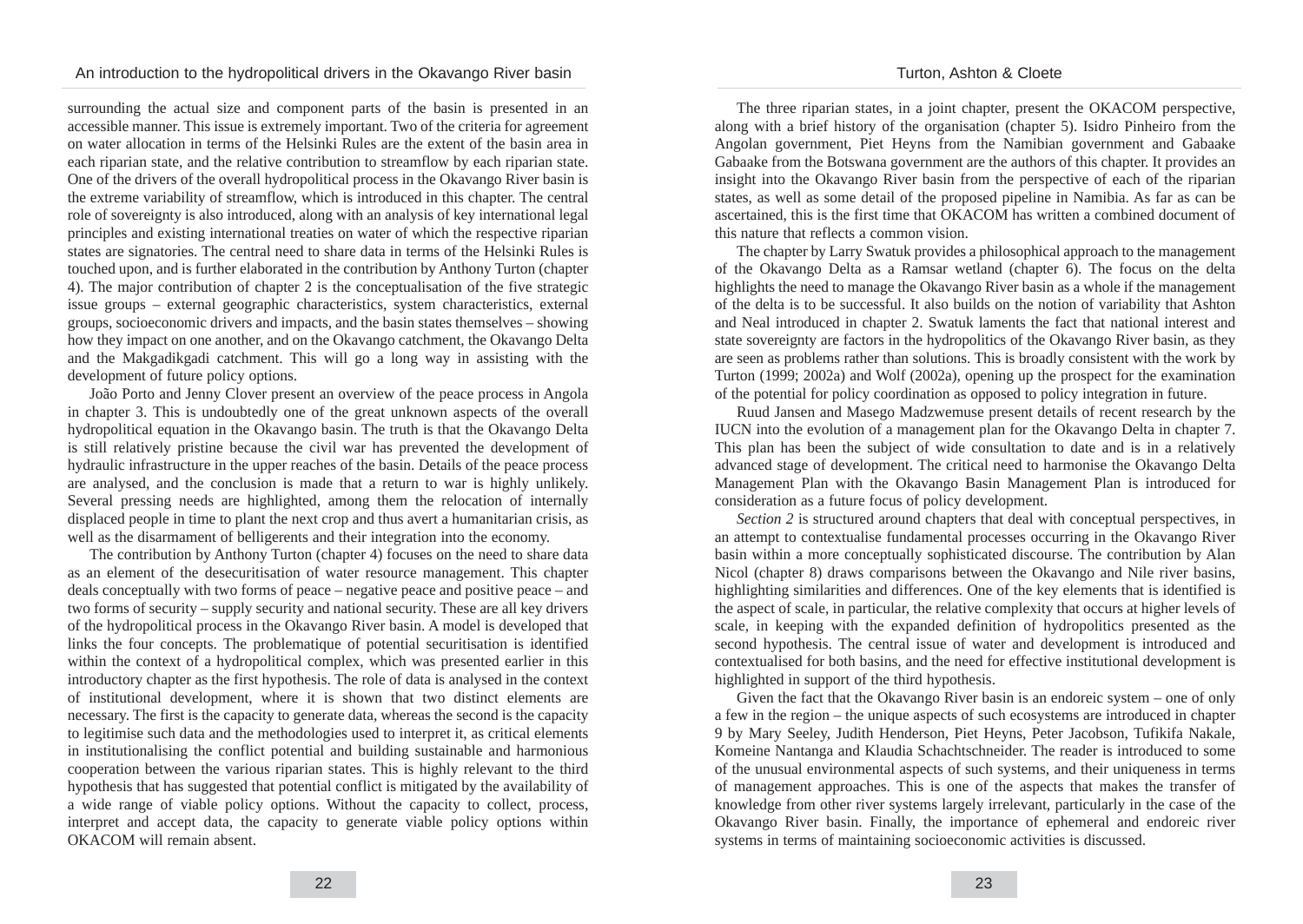surrounding the actual size and component parts of the basin is presented in an accessible manner. This issue is extremely important. Two of the criteria for agreement on water allocation in terms of the Helsinki Rules are the extent of the basin area in each riparian state, and the relative contribution to streamflow by each riparian state. One of the drivers of the overall hydropolitical process in the Okavango River basin is the extreme variability of streamflow, which is introduced in this chapter. The central role of sovereignty is also introduced, along with an analysis of key international legal principles and existing international treaties on water of which the respective riparian states are signatories. The central need to share data in terms of the Helsinki Rules is touched upon, and is further elaborated in the contribution by Anthony Turton (chapter 4). The major contribution of chapter 2 is the conceptualisation of the five strategic issue groups – external geographic characteristics, system characteristics, external groups, socioeconomic drivers and impacts, and the basin states themselves – showing how they impact on one another, and on the Okavango catchment, the Okavango Delta and the Makgadikgadi catchment. This will go a long way in assisting with the development of future policy options.

João Porto and Jenny Clover present an overview of the peace process in Angola in chapter 3. This is undoubtedly one of the great unknown aspects of the overall hydropolitical equation in the Okavango basin. The truth is that the Okavango Delta is still relatively pristine because the civil war has prevented the development of hydraulic infrastructure in the upper reaches of the basin. Details of the peace process are analysed, and the conclusion is made that a return to war is highly unlikely. Several pressing needs are highlighted, among them the relocation of internally displaced people in time to plant the next crop and thus avert a humanitarian crisis, as well as the disarmament of belligerents and their integration into the economy.

The contribution by Anthony Turton (chapter 4) focuses on the need to share data as an element of the desecuritisation of water resource management. This chapter deals conceptually with two forms of peace – negative peace and positive peace – and two forms of security – supply security and national security. These are all key drivers of the hydropolitical process in the Okavango River basin. A model is developed that links the four concepts. The problematique of potential securitisation is identified within the context of a hydropolitical complex, which was presented earlier in this introductory chapter as the first hypothesis. The role of data is analysed in the context of institutional development, where it is shown that two distinct elements are necessary. The first is the capacity to generate data, whereas the second is the capacity to legitimise such data and the methodologies used to interpret it, as critical elements in institutionalising the conflict potential and building sustainable and harmonious cooperation between the various riparian states. This is highly relevant to the third hypothesis that has suggested that potential conflict is mitigated by the availability of a wide range of viable policy options. Without the capacity to collect, process, interpret and accept data, the capacity to generate viable policy options within OKACOM will remain absent.

The three riparian states, in a joint chapter, present the OKACOM perspective, along with a brief history of the organisation (chapter 5). Isidro Pinheiro from the Angolan government, Piet Heyns from the Namibian government and Gabaake Gabaake from the Botswana government are the authors of this chapter. It provides an insight into the Okavango River basin from the perspective of each of the riparian states, as well as some detail of the proposed pipeline in Namibia. As far as can be ascertained, this is the first time that OKACOM has written a combined document of this nature that reflects a common vision.

The chapter by Larry Swatuk provides a philosophical approach to the management of the Okavango Delta as a Ramsar wetland (chapter 6). The focus on the delta highlights the need to manage the Okavango River basin as a whole if the management of the delta is to be successful. It also builds on the notion of variability that Ashton and Neal introduced in chapter 2. Swatuk laments the fact that national interest and state sovereignty are factors in the hydropolitics of the Okavango River basin, as they are seen as problems rather than solutions. This is broadly consistent with the work by Turton (1999; 2002a) and Wolf (2002a), opening up the prospect for the examination of the potential for policy coordination as opposed to policy integration in future.

Ruud Jansen and Masego Madzwemuse present details of recent research by the IUCN into the evolution of a management plan for the Okavango Delta in chapter 7. This plan has been the subject of wide consultation to date and is in a relatively advanced stage of development. The critical need to harmonise the Okavango Delta Management Plan with the Okavango Basin Management Plan is introduced for consideration as a future focus of policy development.

*Section 2* is structured around chapters that deal with conceptual perspectives, in an attempt to contextualise fundamental processes occurring in the Okavango River basin within a more conceptually sophisticated discourse. The contribution by Alan Nicol (chapter 8) draws comparisons between the Okavango and Nile river basins, highlighting similarities and differences. One of the key elements that is identified is the aspect of scale, in particular, the relative complexity that occurs at higher levels of scale, in keeping with the expanded definition of hydropolitics presented as the second hypothesis. The central issue of water and development is introduced and contextualised for both basins, and the need for effective institutional development is highlighted in support of the third hypothesis.

Given the fact that the Okavango River basin is an endoreic system – one of only a few in the region – the unique aspects of such ecosystems are introduced in chapter 9 by Mary Seeley, Judith Henderson, Piet Heyns, Peter Jacobson, Tufikifa Nakale, Komeine Nantanga and Klaudia Schachtschneider. The reader is introduced to some of the unusual environmental aspects of such systems, and their uniqueness in terms of management approaches. This is one of the aspects that makes the transfer of knowledge from other river systems largely irrelevant, particularly in the case of the Okavango River basin. Finally, the importance of ephemeral and endoreic river systems in terms of maintaining socioeconomic activities is discussed.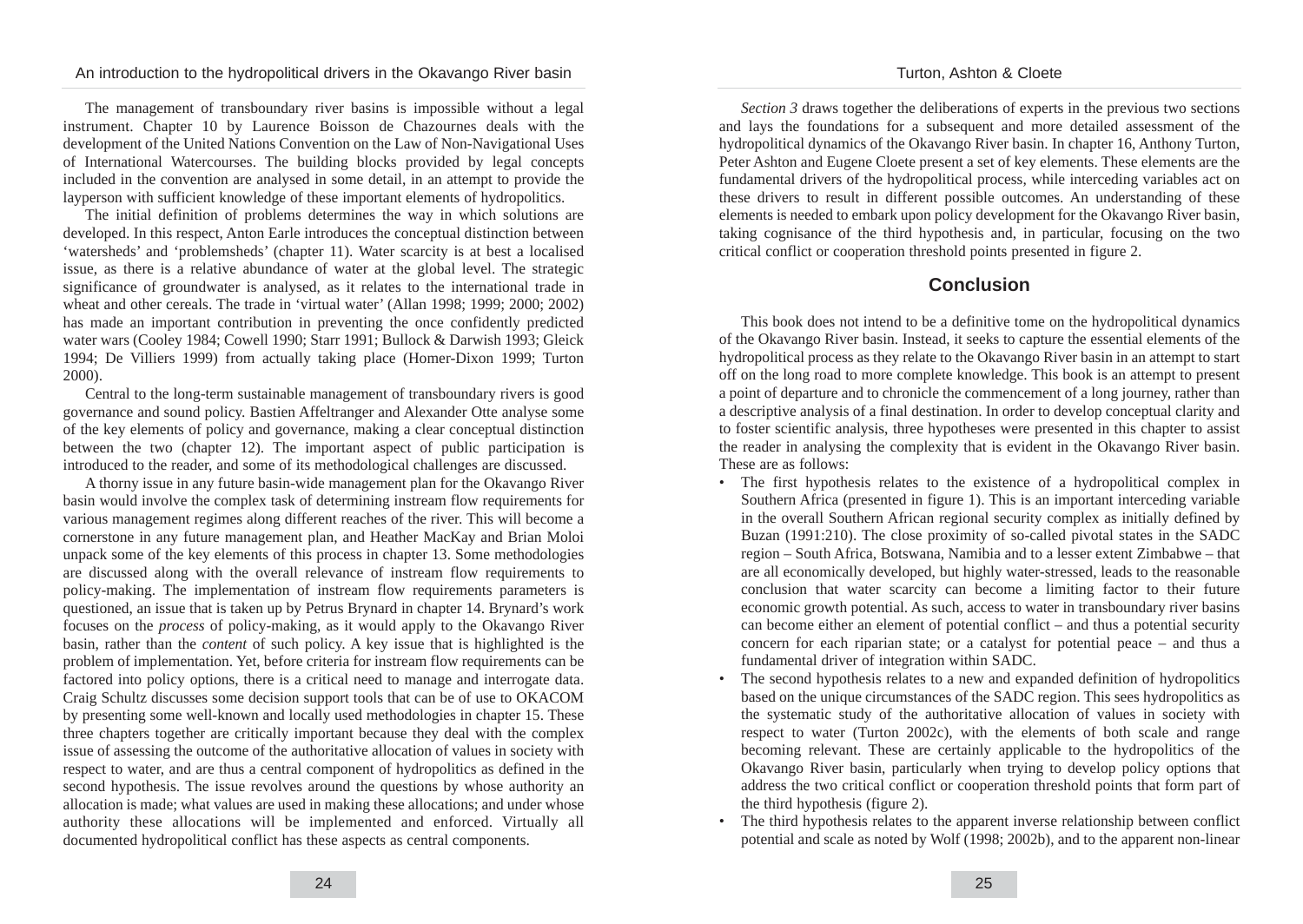The management of transboundary river basins is impossible without a legal instrument. Chapter 10 by Laurence Boisson de Chazournes deals with the development of the United Nations Convention on the Law of Non-Navigational Uses of International Watercourses. The building blocks provided by legal concepts included in the convention are analysed in some detail, in an attempt to provide the layperson with sufficient knowledge of these important elements of hydropolitics.

The initial definition of problems determines the way in which solutions are developed. In this respect, Anton Earle introduces the conceptual distinction between 'watersheds' and 'problemsheds' (chapter 11). Water scarcity is at best a localised issue, as there is a relative abundance of water at the global level. The strategic significance of groundwater is analysed, as it relates to the international trade in wheat and other cereals. The trade in 'virtual water' (Allan 1998; 1999; 2000; 2002) has made an important contribution in preventing the once confidently predicted water wars (Cooley 1984; Cowell 1990; Starr 1991; Bullock & Darwish 1993; Gleick 1994; De Villiers 1999) from actually taking place (Homer-Dixon 1999; Turton 2000).

Central to the long-term sustainable management of transboundary rivers is good governance and sound policy. Bastien Affeltranger and Alexander Otte analyse some of the key elements of policy and governance, making a clear conceptual distinction between the two (chapter 12). The important aspect of public participation is introduced to the reader, and some of its methodological challenges are discussed.

A thorny issue in any future basin-wide management plan for the Okavango River basin would involve the complex task of determining instream flow requirements for various management regimes along different reaches of the river. This will become a cornerstone in any future management plan, and Heather MacKay and Brian Moloi unpack some of the key elements of this process in chapter 13. Some methodologies are discussed along with the overall relevance of instream flow requirements to policy-making. The implementation of instream flow requirements parameters is questioned, an issue that is taken up by Petrus Brynard in chapter 14. Brynard's work focuses on the *process* of policy-making, as it would apply to the Okavango River basin, rather than the *content* of such policy. A key issue that is highlighted is the problem of implementation. Yet, before criteria for instream flow requirements can be factored into policy options, there is a critical need to manage and interrogate data. Craig Schultz discusses some decision support tools that can be of use to OKACOM by presenting some well-known and locally used methodologies in chapter 15. These three chapters together are critically important because they deal with the complex issue of assessing the outcome of the authoritative allocation of values in society with respect to water, and are thus a central component of hydropolitics as defined in the second hypothesis. The issue revolves around the questions by whose authority an allocation is made; what values are used in making these allocations; and under whose authority these allocations will be implemented and enforced. Virtually all documented hydropolitical conflict has these aspects as central components.

*Section 3* draws together the deliberations of experts in the previous two sections and lays the foundations for a subsequent and more detailed assessment of the hydropolitical dynamics of the Okavango River basin. In chapter 16, Anthony Turton, Peter Ashton and Eugene Cloete present a set of key elements. These elements are the fundamental drivers of the hydropolitical process, while interceding variables act on these drivers to result in different possible outcomes. An understanding of these elements is needed to embark upon policy development for the Okavango River basin, taking cognisance of the third hypothesis and, in particular, focusing on the two critical conflict or cooperation threshold points presented in figure 2.

## **Conclusion**

This book does not intend to be a definitive tome on the hydropolitical dynamics of the Okavango River basin. Instead, it seeks to capture the essential elements of the hydropolitical process as they relate to the Okavango River basin in an attempt to start off on the long road to more complete knowledge. This book is an attempt to present a point of departure and to chronicle the commencement of a long journey, rather than a descriptive analysis of a final destination. In order to develop conceptual clarity and to foster scientific analysis, three hypotheses were presented in this chapter to assist the reader in analysing the complexity that is evident in the Okavango River basin. These are as follows:

- The first hypothesis relates to the existence of a hydropolitical complex in Southern Africa (presented in figure 1). This is an important interceding variable in the overall Southern African regional security complex as initially defined by Buzan (1991:210). The close proximity of so-called pivotal states in the SADC region – South Africa, Botswana, Namibia and to a lesser extent Zimbabwe – that are all economically developed, but highly water-stressed, leads to the reasonable conclusion that water scarcity can become a limiting factor to their future economic growth potential. As such, access to water in transboundary river basins can become either an element of potential conflict – and thus a potential security concern for each riparian state; or a catalyst for potential peace – and thus a fundamental driver of integration within SADC.
- The second hypothesis relates to a new and expanded definition of hydropolitics based on the unique circumstances of the SADC region. This sees hydropolitics as the systematic study of the authoritative allocation of values in society with respect to water (Turton 2002c), with the elements of both scale and range becoming relevant. These are certainly applicable to the hydropolitics of the Okavango River basin, particularly when trying to develop policy options that address the two critical conflict or cooperation threshold points that form part of the third hypothesis (figure 2).
- The third hypothesis relates to the apparent inverse relationship between conflict potential and scale as noted by Wolf (1998; 2002b), and to the apparent non-linear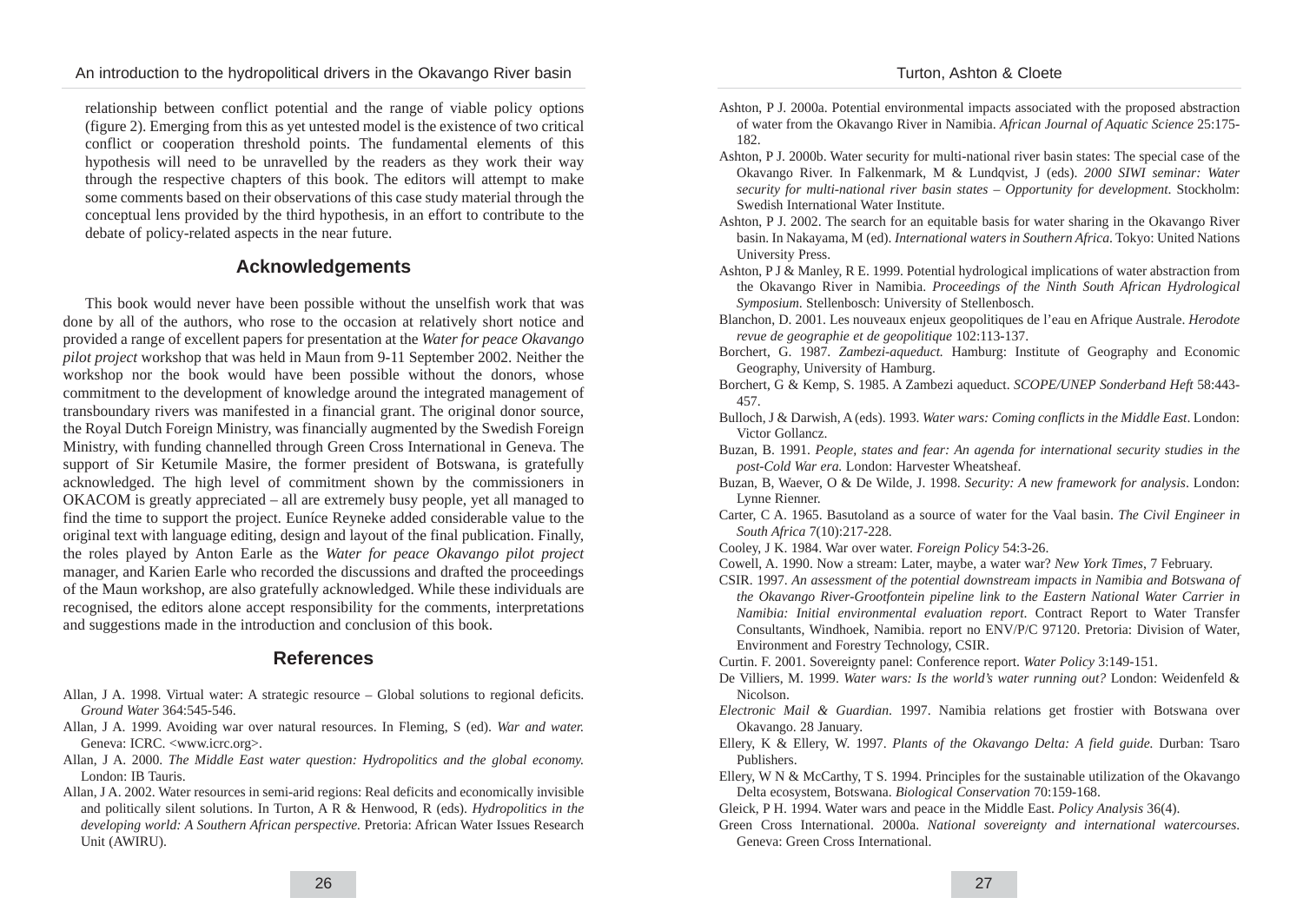relationship between conflict potential and the range of viable policy options (figure 2). Emerging from this as yet untested model is the existence of two critical conflict or cooperation threshold points. The fundamental elements of this hypothesis will need to be unravelled by the readers as they work their way through the respective chapters of this book. The editors will attempt to make some comments based on their observations of this case study material through the conceptual lens provided by the third hypothesis, in an effort to contribute to the debate of policy-related aspects in the near future.

# **Acknowledgements**

This book would never have been possible without the unselfish work that was done by all of the authors, who rose to the occasion at relatively short notice and provided a range of excellent papers for presentation at the *Water for peace Okavango pilot project* workshop that was held in Maun from 9-11 September 2002. Neither the workshop nor the book would have been possible without the donors, whose commitment to the development of knowledge around the integrated management of transboundary rivers was manifested in a financial grant. The original donor source, the Royal Dutch Foreign Ministry, was financially augmented by the Swedish Foreign Ministry, with funding channelled through Green Cross International in Geneva. The support of Sir Ketumile Masire, the former president of Botswana, is gratefully acknowledged. The high level of commitment shown by the commissioners in OKACOM is greatly appreciated – all are extremely busy people, yet all managed to find the time to support the project. Euníce Reyneke added considerable value to the original text with language editing, design and layout of the final publication. Finally, the roles played by Anton Earle as the *Water for peace Okavango pilot project* manager, and Karien Earle who recorded the discussions and drafted the proceedings of the Maun workshop, are also gratefully acknowledged. While these individuals are recognised, the editors alone accept responsibility for the comments, interpretations and suggestions made in the introduction and conclusion of this book.

# **References**

- Allan, J A. 1998. Virtual water: A strategic resource Global solutions to regional deficits. *Ground Water* 364:545-546.
- Allan, J A. 1999. Avoiding war over natural resources. In Fleming, S (ed). *War and water.* Geneva: ICRC. <www.icrc.org>.
- Allan, J A. 2000. *The Middle East water question: Hydropolitics and the global economy.* London: IB Tauris.
- Allan, J A. 2002. Water resources in semi-arid regions: Real deficits and economically invisible and politically silent solutions. In Turton, A R & Henwood, R (eds). *Hydropolitics in the developing world: A Southern African perspective.* Pretoria: African Water Issues Research Unit (AWIRU).
- Ashton, P J. 2000a. Potential environmental impacts associated with the proposed abstraction of water from the Okavango River in Namibia. *African Journal of Aquatic Science* 25:175- 182.
- Ashton, P J. 2000b. Water security for multi-national river basin states: The special case of the Okavango River. In Falkenmark, M & Lundqvist, J (eds). *2000 SIWI seminar: Water security for multi-national river basin states – Opportunity for development*. Stockholm: Swedish International Water Institute.
- Ashton, P J. 2002. The search for an equitable basis for water sharing in the Okavango River basin. In Nakayama, M (ed). *International waters in Southern Africa*. Tokyo: United Nations University Press.
- Ashton, P J & Manley, R E. 1999. Potential hydrological implications of water abstraction from the Okavango River in Namibia. *Proceedings of the Ninth South African Hydrological Symposium*. Stellenbosch: University of Stellenbosch.
- Blanchon, D. 2001. Les nouveaux enjeux geopolitiques de l'eau en Afrique Australe. *Herodote revue de geographie et de geopolitique* 102:113-137.
- Borchert, G. 1987. *Zambezi-aqueduct.* Hamburg: Institute of Geography and Economic Geography, University of Hamburg.
- Borchert, G & Kemp, S. 1985. A Zambezi aqueduct. *SCOPE/UNEP Sonderband Heft* 58:443- 457.
- Bulloch, J & Darwish, A (eds). 1993. *Water wars: Coming conflicts in the Middle East*. London: Victor Gollancz.
- Buzan, B. 1991. *People, states and fear: An agenda for international security studies in the post-Cold War era.* London: Harvester Wheatsheaf.
- Buzan, B, Waever, O & De Wilde, J. 1998. *Security: A new framework for analysis*. London: Lynne Rienner.
- Carter, C A. 1965. Basutoland as a source of water for the Vaal basin. *The Civil Engineer in South Africa* 7(10):217-228.
- Cooley, J K. 1984. War over water. *Foreign Policy* 54:3-26.
- Cowell, A. 1990. Now a stream: Later, maybe, a water war? *New York Times*, 7 February.
- CSIR. 1997. *An assessment of the potential downstream impacts in Namibia and Botswana of the Okavango River-Grootfontein pipeline link to the Eastern National Water Carrier in Namibia: Initial environmental evaluation report*. Contract Report to Water Transfer Consultants, Windhoek, Namibia. report no ENV/P/C 97120. Pretoria: Division of Water, Environment and Forestry Technology, CSIR.
- Curtin. F. 2001. Sovereignty panel: Conference report. *Water Policy* 3:149-151.
- De Villiers, M. 1999. *Water wars: Is the world's water running out?* London: Weidenfeld & Nicolson.
- *Electronic Mail & Guardian*. 1997. Namibia relations get frostier with Botswana over Okavango. 28 January.
- Ellery, K & Ellery, W. 1997. *Plants of the Okavango Delta: A field guide.* Durban: Tsaro Publishers.
- Ellery, W N & McCarthy, T S. 1994. Principles for the sustainable utilization of the Okavango Delta ecosystem, Botswana. *Biological Conservation* 70:159-168.
- Gleick, P H. 1994. Water wars and peace in the Middle East. *Policy Analysis* 36(4).
- Green Cross International. 2000a. *National sovereignty and international watercourses*. Geneva: Green Cross International.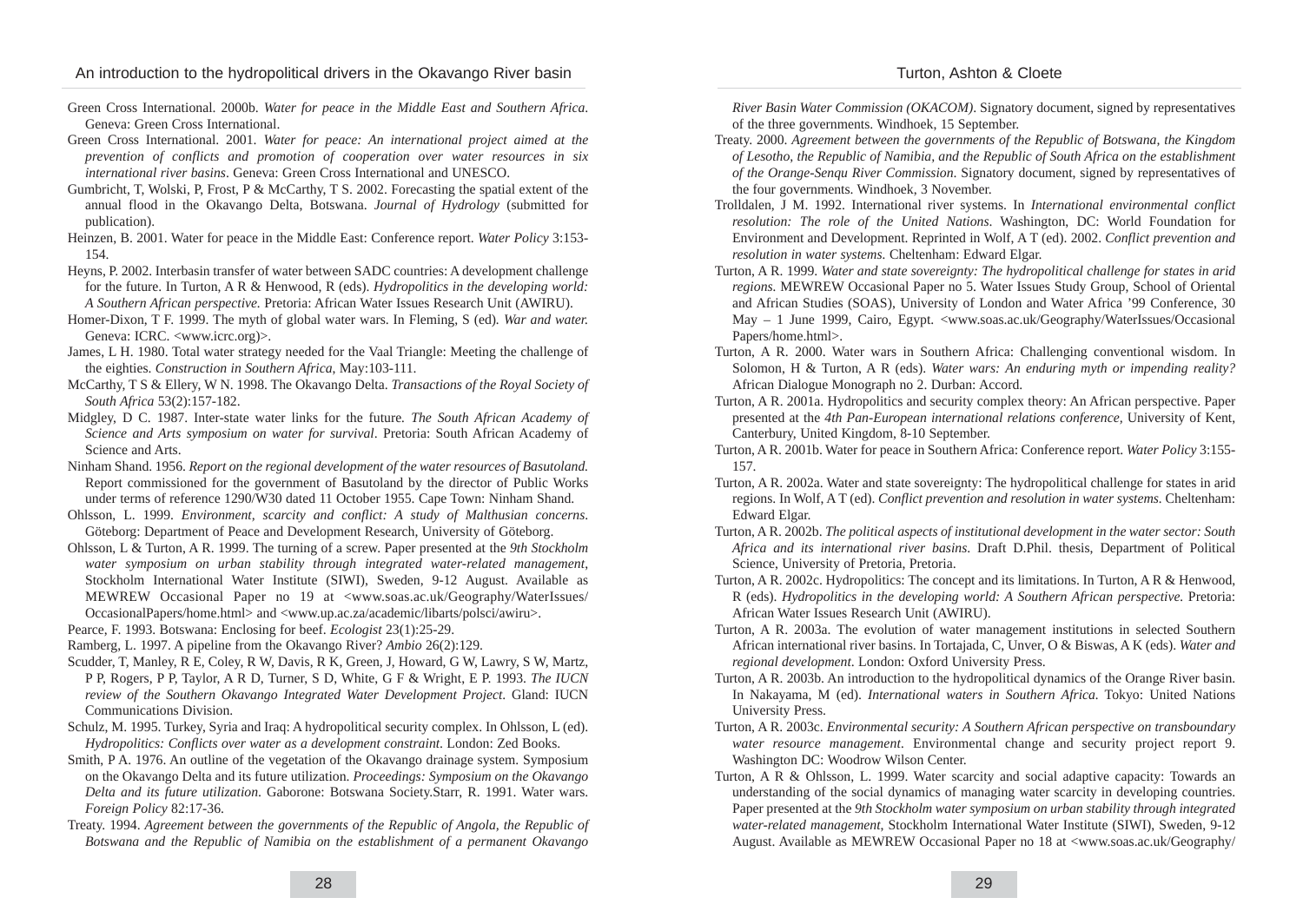- Green Cross International. 2000b. *Water for peace in the Middle East and Southern Africa*. Geneva: Green Cross International.
- Green Cross International. 2001. *Water for peace: An international project aimed at the prevention of conflicts and promotion of cooperation over water resources in six international river basins*. Geneva: Green Cross International and UNESCO.
- Gumbricht, T, Wolski, P, Frost, P & McCarthy, T S. 2002. Forecasting the spatial extent of the annual flood in the Okavango Delta, Botswana. *Journal of Hydrology* (submitted for publication).
- Heinzen, B. 2001. Water for peace in the Middle East: Conference report. *Water Policy* 3:153- 154.
- Heyns, P. 2002. Interbasin transfer of water between SADC countries: A development challenge for the future. In Turton, A R & Henwood, R (eds). *Hydropolitics in the developing world: A Southern African perspective.* Pretoria: African Water Issues Research Unit (AWIRU).
- Homer-Dixon, T F. 1999. The myth of global water wars. In Fleming, S (ed)*. War and water.* Geneva: ICRC. <www.icrc.org)>.
- James, L H. 1980. Total water strategy needed for the Vaal Triangle: Meeting the challenge of the eighties. *Construction in Southern Africa*, May:103-111.
- McCarthy, T S & Ellery, W N. 1998. The Okavango Delta. *Transactions of the Royal Society of South Africa* 53(2):157-182.
- Midgley, D C. 1987. Inter-state water links for the future*. The South African Academy of Science and Arts symposium on water for survival*. Pretoria: South African Academy of Science and Arts.
- Ninham Shand. 1956. *Report on the regional development of the water resources of Basutoland.* Report commissioned for the government of Basutoland by the director of Public Works under terms of reference 1290/W30 dated 11 October 1955. Cape Town: Ninham Shand.
- Ohlsson, L. 1999. *Environment, scarcity and conflict: A study of Malthusian concerns*. Göteborg: Department of Peace and Development Research, University of Göteborg.
- Ohlsson, L & Turton, A R. 1999. The turning of a screw. Paper presented at the *9th Stockholm water symposium on urban stability through integrated water-related management*, Stockholm International Water Institute (SIWI), Sweden, 9-12 August. Available as MEWREW Occasional Paper no 19 at <www.soas.ac.uk/Geography/WaterIssues/ OccasionalPapers/home.html> and <www.up.ac.za/academic/libarts/polsci/awiru>.
- Pearce, F. 1993. Botswana: Enclosing for beef. *Ecologist* 23(1):25-29.
- Ramberg, L. 1997. A pipeline from the Okavango River? *Ambio* 26(2):129.
- Scudder, T, Manley, R E, Coley, R W, Davis, R K, Green, J, Howard, G W, Lawry, S W, Martz, P P, Rogers, P P, Taylor, A R D, Turner, S D, White, G F & Wright, E P. 1993. *The IUCN review of the Southern Okavango Integrated Water Development Project*. Gland: IUCN Communications Division.
- Schulz, M. 1995. Turkey, Syria and Iraq: A hydropolitical security complex. In Ohlsson, L (ed). *Hydropolitics: Conflicts over water as a development constraint*. London: Zed Books.
- Smith, P A. 1976. An outline of the vegetation of the Okavango drainage system. Symposium on the Okavango Delta and its future utilization. *Proceedings: Symposium on the Okavango Delta and its future utilization*. Gaborone: Botswana Society.Starr, R. 1991. Water wars. *Foreign Policy* 82:17-36.
- Treaty. 1994. *Agreement between the governments of the Republic of Angola, the Republic of Botswana and the Republic of Namibia on the establishment of a permanent Okavango*

*River Basin Water Commission (OKACOM)*. Signatory document, signed by representatives of the three governments. Windhoek, 15 September.

- Treaty. 2000. *Agreement between the governments of the Republic of Botswana, the Kingdom of Lesotho, the Republic of Namibia, and the Republic of South Africa on the establishment of the Orange-Senqu River Commission*. Signatory document, signed by representatives of the four governments. Windhoek, 3 November.
- Trolldalen, J M. 1992. International river systems. In *International environmental conflict resolution: The role of the United Nations*. Washington, DC: World Foundation for Environment and Development. Reprinted in Wolf, A T (ed). 2002. *Conflict prevention and resolution in water systems.* Cheltenham: Edward Elgar.
- Turton, A R. 1999. *Water and state sovereignty: The hydropolitical challenge for states in arid regions.* MEWREW Occasional Paper no 5. Water Issues Study Group, School of Oriental and African Studies (SOAS), University of London and Water Africa '99 Conference, 30 May – 1 June 1999, Cairo, Egypt. <www.soas.ac.uk/Geography/WaterIssues/Occasional Papers/home.html>.
- Turton, A R. 2000. Water wars in Southern Africa: Challenging conventional wisdom. In Solomon, H & Turton, A R (eds). *Water wars: An enduring myth or impending reality?* African Dialogue Monograph no 2. Durban: Accord.
- Turton, A R. 2001a. Hydropolitics and security complex theory: An African perspective. Paper presented at the *4th Pan-European international relations conference,* University of Kent, Canterbury, United Kingdom, 8-10 September.
- Turton, A R. 2001b. Water for peace in Southern Africa: Conference report. *Water Policy* 3:155- 157.
- Turton, A R. 2002a. Water and state sovereignty: The hydropolitical challenge for states in arid regions. In Wolf, A T (ed). *Conflict prevention and resolution in water systems.* Cheltenham: Edward Elgar.
- Turton, A R. 2002b. *The political aspects of institutional development in the water sector: South Africa and its international river basins*. Draft D.Phil. thesis, Department of Political Science, University of Pretoria, Pretoria.
- Turton, A R. 2002c. Hydropolitics: The concept and its limitations. In Turton, A R & Henwood, R (eds). *Hydropolitics in the developing world: A Southern African perspective.* Pretoria: African Water Issues Research Unit (AWIRU).
- Turton, A R. 2003a. The evolution of water management institutions in selected Southern African international river basins. In Tortajada, C, Unver, O & Biswas, A K (eds). *Water and regional development*. London: Oxford University Press.
- Turton, A R. 2003b. An introduction to the hydropolitical dynamics of the Orange River basin. In Nakayama, M (ed). *International waters in Southern Africa.* Tokyo: United Nations University Press.
- Turton, A R. 2003c. *Environmental security: A Southern African perspective on transboundary water resource management.* Environmental change and security project report 9. Washington DC: Woodrow Wilson Center.
- Turton, A R & Ohlsson, L. 1999. Water scarcity and social adaptive capacity: Towards an understanding of the social dynamics of managing water scarcity in developing countries. Paper presented at the *9th Stockholm water symposium on urban stability through integrated water-related management*, Stockholm International Water Institute (SIWI), Sweden, 9-12 August. Available as MEWREW Occasional Paper no 18 at <www.soas.ac.uk/Geography/